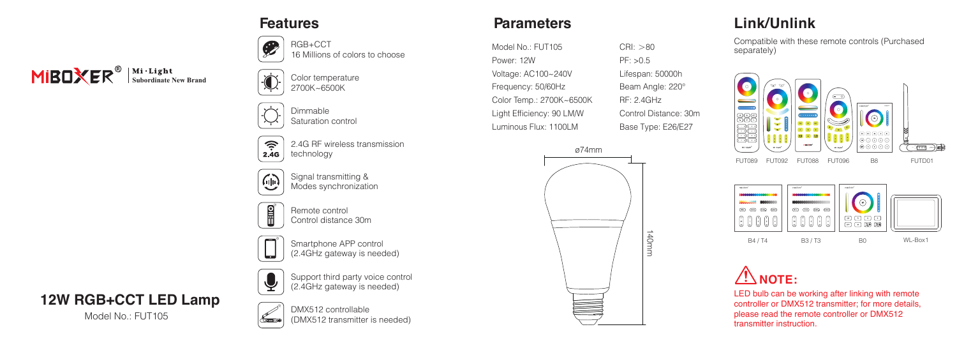# **MIBOXER**<sup><sup>®</sup> Subordinate New Brand</sup>



 $\circledast$ 16 Millions of colors to choose

2700K~6500K

Dimmable Saturation control

RGB+CCT

 $\widehat{\tau}$ 2.4G RF wireless transmission technology  $2.4G$ 



Signal transmitting & Modes synchronization



Remote control Control distance 30m

Smartphone APP control (2.4GHz gateway is needed)



#### **12W RGB+CCT LED Lamp**

Model No.: FUT105



DMX512 controllable (DMX512 transmitter is needed)

Support third party voice control (2.4GHz gateway is needed)

#### **Features Parameters**

Model No.: FUT105 Power: 12W Voltage: AC100~240V Frequency: 50/60Hz Color Temp.: 2700K~6500K Light Efficiency: 90 LM/W Luminous Flux: 1100LM



 $CRI:  $>80$$ PF: >0.5 Lifespan: 50000h Beam Angle: 220° RF: 2.4GHz Control Distance: 30m Base Type: E26/E27

#### **Link/Unlink**

Compatible with these remote controls (Purchased separately)







LED bulb can be working after linking with remote controller or DMX512 transmitter; for more details, please read the remote controller or DMX512 transmitter instruction.